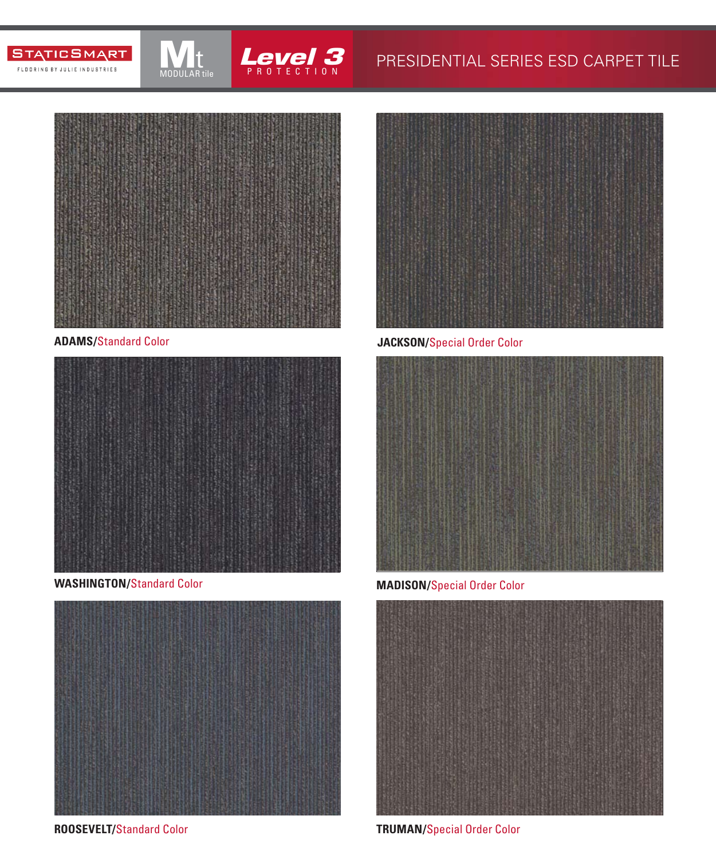





MODULAR tile





**ROOSEVELT/**Standard Color



### **ADAMS/**Standard Color **JACKSON/**Special Order Color



**WASHINGTON/**Standard Color **MADISON/**Special Order Color



**TRUMAN/**Special Order Color